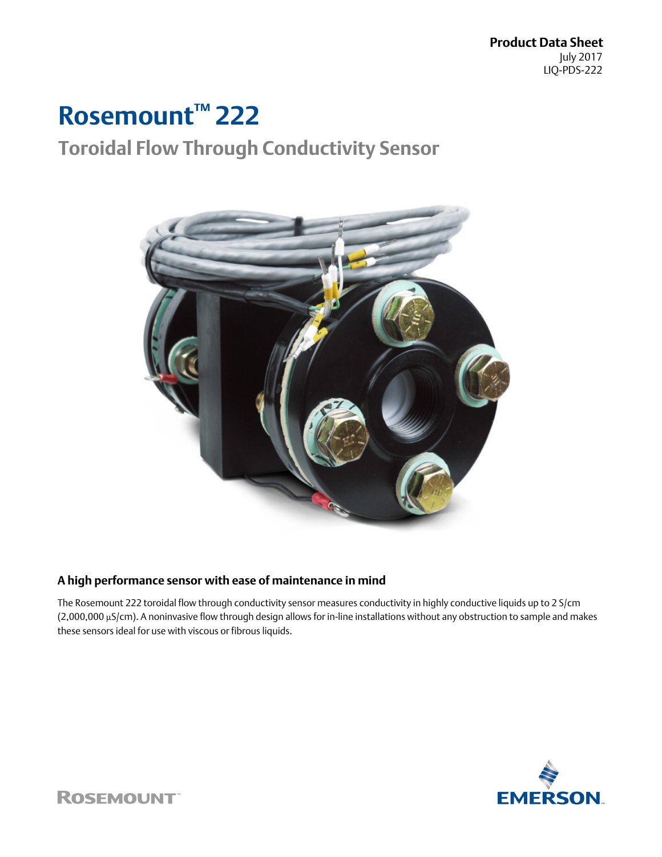**Product Data Sheet** July 2017 LIQ-PDS-222

# **Rosemount™ 222**

## **Toroidal Flow Through Conductivity Sensor**



## **A high performance sensor with ease of maintenance in mind**

The Rosemount 222 toroidal flow through conductivity sensor measures conductivity in highly conductive liquids up to 2 S/cm (2,000,000 μS/cm). A noninvasive flow through design allows for in-line installations without any obstruction to sample and makes these sensors ideal for use with viscous or fibrous liquids.



**ROSEMOUNT**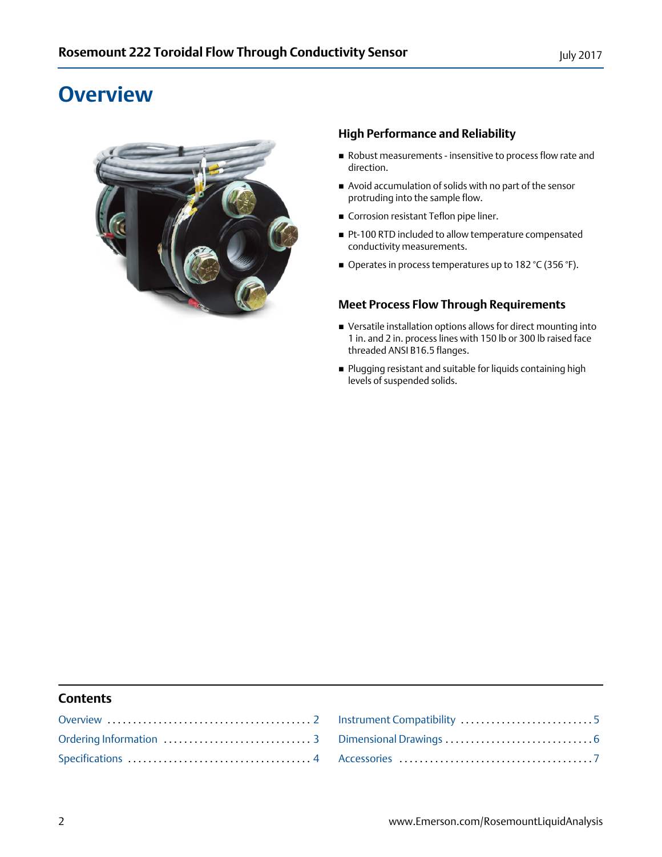## <span id="page-1-0"></span>**Overview**



## **High Performance and Reliability**

- Robust measurements insensitive to process flow rate and direction.
- Avoid accumulation of solids with no part of the sensor protruding into the sample flow.
- Corrosion resistant Teflon pipe liner.
- Pt-100 RTD included to allow temperature compensated conductivity measurements.
- Operates in process temperatures up to 182 °C (356 °F).

## **Meet Process Flow Through Requirements**

- Versatile installation options allows for direct mounting into 1 in. and 2 in. process lines with 150 lb or 300 lb raised face threaded ANSI B16.5 flanges.
- Plugging resistant and suitable for liquids containing high levels of suspended solids.

### **Contents**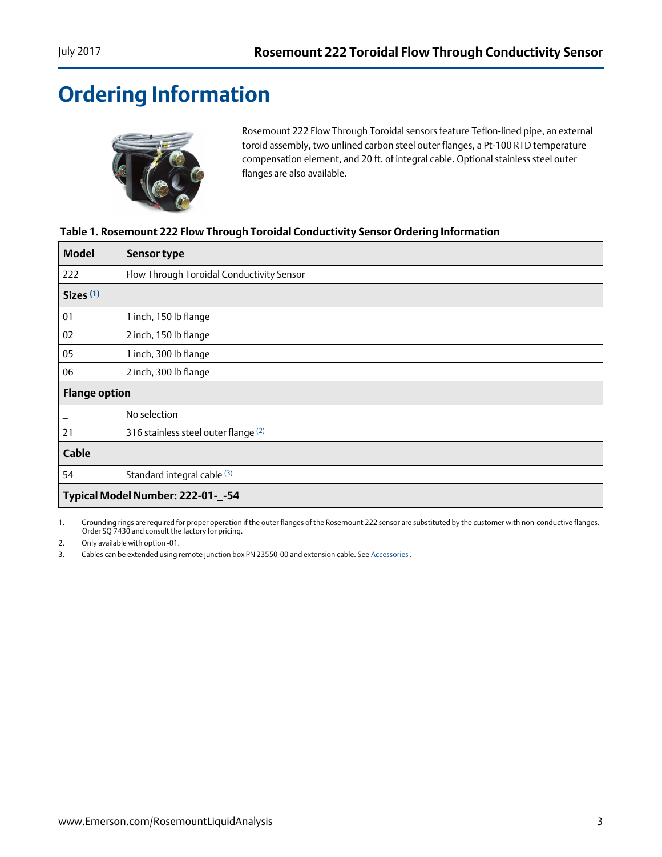# <span id="page-2-0"></span>**Ordering Information**



Rosemount 222 Flow Through Toroidal sensors feature Teflon-lined pipe, an external toroid assembly, two unlined carbon steel outer flanges, a Pt-100 RTD temperature compensation element, and 20 ft. of integral cable. Optional stainless steel outer flanges are also available.

## **Table 1. Rosemount 222 Flow Through Toroidal Conductivity Sensor Ordering Information**

| <b>Model</b>         | <b>Sensor type</b>                        |
|----------------------|-------------------------------------------|
| 222                  | Flow Through Toroidal Conductivity Sensor |
| Sizes <sup>(1)</sup> |                                           |
| 01                   | 1 inch, 150 lb flange                     |
| 02                   | 2 inch, 150 lb flange                     |
| 05                   | 1 inch, 300 lb flange                     |
| 06                   | 2 inch, 300 lb flange                     |
| <b>Flange option</b> |                                           |
|                      | No selection                              |
| 21                   | 316 stainless steel outer flange (2)      |
| Cable                |                                           |
| 54                   | Standard integral cable (3)               |
|                      | Typical Model Number: 222-01-_-54         |

1. Grounding rings are required for proper operation if the outer flanges of the Rosemount 222 sensor are substituted by the customer with non-conductive flanges. Order SQ 7430 and consult the factory for pricing.

2. Only available with option -01.

3. Cables can be extended using remote junction box PN 23550-00 and extension cable. See [Accessories](#page-6-0) .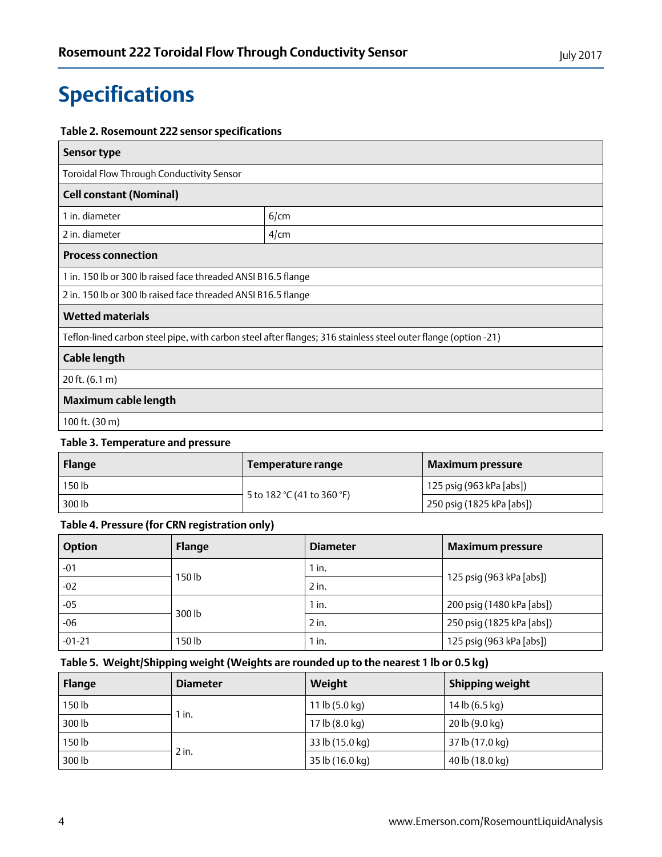# <span id="page-3-0"></span>**Specifications**

### **Table 2. Rosemount 222 sensor specifications**

| Sensor type                                                                                                    |         |  |
|----------------------------------------------------------------------------------------------------------------|---------|--|
| Toroidal Flow Through Conductivity Sensor                                                                      |         |  |
| <b>Cell constant (Nominal)</b>                                                                                 |         |  |
| 1 in. diameter                                                                                                 | 6/cm    |  |
| 2 in. diameter                                                                                                 | $4$ /cm |  |
| <b>Process connection</b>                                                                                      |         |  |
| 1 in. 150 lb or 300 lb raised face threaded ANSI B16.5 flange                                                  |         |  |
| 2 in. 150 lb or 300 lb raised face threaded ANSI B16.5 flange                                                  |         |  |
| <b>Wetted materials</b>                                                                                        |         |  |
| Teflon-lined carbon steel pipe, with carbon steel after flanges; 316 stainless steel outer flange (option -21) |         |  |
| Cable length                                                                                                   |         |  |
| 20 ft. $(6.1 m)$                                                                                               |         |  |
| Maximum cable length                                                                                           |         |  |
| 100 ft. $(30 \text{ m})$                                                                                       |         |  |

## **Table 3. Temperature and pressure**

| Flange | Temperature range          | <b>Maximum pressure</b>   |
|--------|----------------------------|---------------------------|
| 150 lb |                            | 125 psig (963 kPa [abs])  |
| 300 lb | 5 to 182 °C (41 to 360 °F) | 250 psig (1825 kPa [abs]) |

## **Table 4. Pressure (for CRN registration only)**

| <b>Option</b> | <b>Flange</b> | <b>Diameter</b> | <b>Maximum pressure</b>   |  |
|---------------|---------------|-----------------|---------------------------|--|
| $-01$         |               | $1$ in.         |                           |  |
| $-02$         | 150 lb        | $2$ in.         | 125 psig (963 kPa [abs])  |  |
| $-05$         | 300 lb        | $1$ in.         | 200 psig (1480 kPa [abs]) |  |
| $-06$         |               | $2$ in.         | 250 psig (1825 kPa [abs]) |  |
| $-01-21$      | $150$ lb      | $1$ in.         | 125 psig (963 kPa [abs])  |  |

## **Table 5. Weight/Shipping weight (Weights are rounded up to the nearest 1 lb or 0.5 kg)**

| <b>Flange</b> | <b>Diameter</b> | Weight                        | <b>Shipping weight</b> |
|---------------|-----------------|-------------------------------|------------------------|
| 150 lb        | ∖ in.           | 11 $\vert$ b (5.0 $\vert$ kg) | 14 lb (6.5 kg)         |
| 300 lb        |                 | 17 lb (8.0 kg)                | 20 lb (9.0 kg)         |
| 150 lb        |                 | 33 lb (15.0 kg)               | 37 lb (17.0 kg)        |
| 300 lb        | 2 in.           | 35 lb (16.0 kg)               | 40 lb (18.0 kg)        |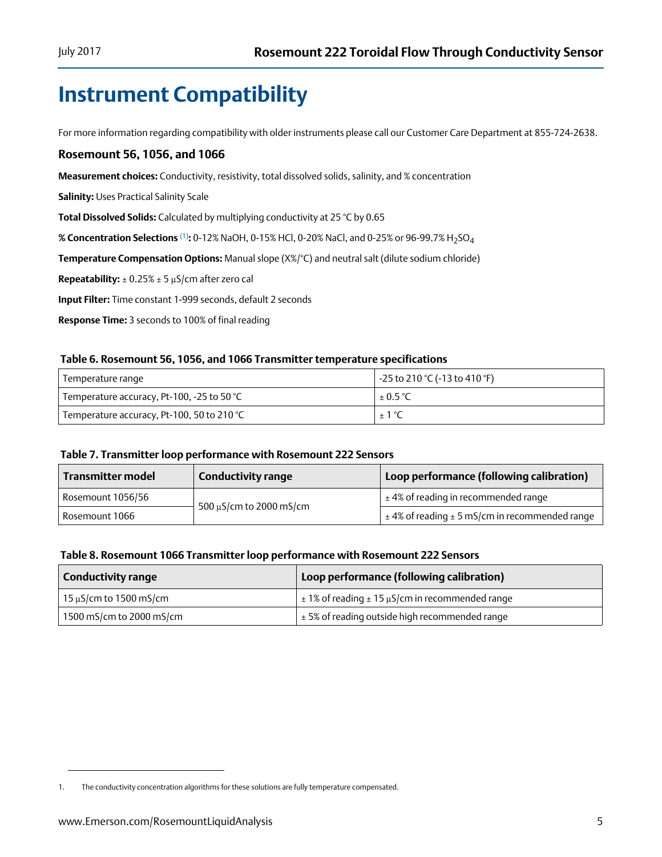## <span id="page-4-0"></span>**Instrument Compatibility**

For more information regarding compatibility with older instruments please call our Customer Care Department at 855-724-2638.

### **Rosemount 56, 1056, and 1066**

**Measurement choices:** Conductivity, resistivity, total dissolved solids, salinity, and % concentration

**Salinity:** Uses Practical Salinity Scale

**Total Dissolved Solids:** Calculated by multiplying conductivity at 25 °C by 0.65

**% Concentration Selections** (1)**:** 0-12% NaOH, 0-15% HCl, 0-20% NaCl, and 0-25% or 96-99.7% H2SO4

**Temperature Compensation Options:** Manual slope (X%/°C) and neutral salt (dilute sodium chloride)

**Repeatability:** ± 0.25% ± 5 μS/cm after zero cal

**Input Filter:** Time constant 1-999 seconds, default 2 seconds

**Response Time:** 3 seconds to 100% of final reading

#### **Table 6. Rosemount 56, 1056, and 1066 Transmitter temperature specifications**

| Temperature range                          | -25 to 210 °C (-13 to 410 °F) |
|--------------------------------------------|-------------------------------|
| Temperature accuracy, Pt-100, -25 to 50 °C | $\pm 0.5$ °C                  |
| Temperature accuracy, Pt-100, 50 to 210 °C | $\pm$ 1 °C                    |

#### **Table 7. Transmitter loop performance with Rosemount 222 Sensors**

| <b>Transmitter model</b> | <b>Conductivity range</b>    | Loop performance (following calibration)               |  |
|--------------------------|------------------------------|--------------------------------------------------------|--|
| Rosemount 1056/56        |                              | $\pm$ 4% of reading in recommended range               |  |
| Rosemount 1066           | $500 \mu$ S/cm to 2000 mS/cm | $\pm$ 4% of reading $\pm$ 5 mS/cm in recommended range |  |

#### **Table 8. Rosemount 1066 Transmitter loop performance with Rosemount 222 Sensors**

| Conductivity range          | Loop performance (following calibration)                       |
|-----------------------------|----------------------------------------------------------------|
| $15 \mu$ S/cm to 1500 mS/cm | $\pm$ 1% of reading $\pm$ 15 $\mu$ S/cm in recommended range   |
| 1500 mS/cm to 2000 mS/cm    | $^{\prime}$ $\pm$ 5% of reading outside high recommended range |

<sup>1.</sup> The conductivity concentration algorithms for these solutions are fully temperature compensated.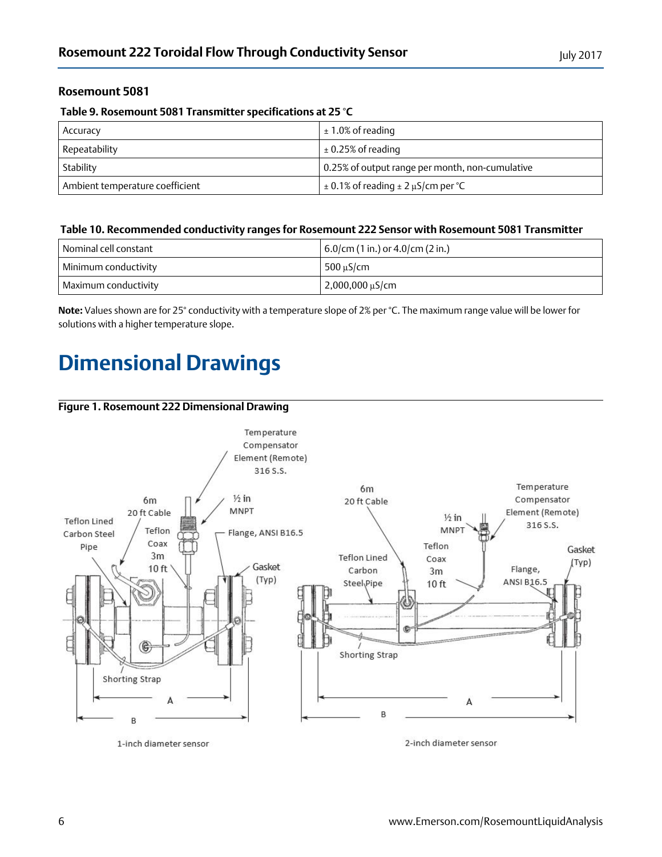## **Rosemount 5081**

#### **Table 9. Rosemount 5081 Transmitter specifications at 25 °C**

| Accuracy                        | $\pm 1.0\%$ of reading                          |
|---------------------------------|-------------------------------------------------|
| Repeatability                   | $\pm 0.25\%$ of reading                         |
| Stability                       | 0.25% of output range per month, non-cumulative |
| Ambient temperature coefficient | $\pm 0.1\%$ of reading $\pm 2 \mu$ S/cm per °C  |

#### **Table 10. Recommended conductivity ranges for Rosemount 222 Sensor with Rosemount 5081 Transmitter**

| Nominal cell constant | $6.0$ /cm (1 in.) or 4.0/cm (2 in.) |  |
|-----------------------|-------------------------------------|--|
| Minimum conductivity  | $500 \text{ uS/cm}$                 |  |
| Maximum conductivity  | $2,000,000 \,\mu S/cm$              |  |

**Note:** Values shown are for 25° conductivity with a temperature slope of 2% per °C. The maximum range value will be lower for solutions with a higher temperature slope.

## <span id="page-5-0"></span>**Dimensional Drawings**

#### **Figure 1. Rosemount 222 Dimensional Drawing**



1-inch diameter sensor

2-inch diameter sensor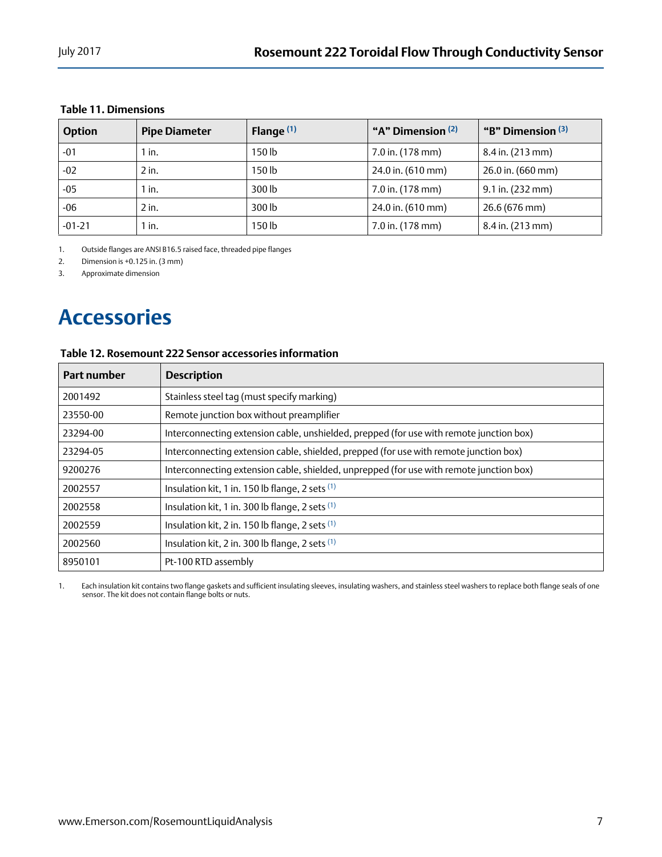### **Table 11. Dimensions**

| <b>Option</b> | <b>Pipe Diameter</b> | Flange $(1)$ | "A" Dimension (2) | "B" Dimension (3)      |
|---------------|----------------------|--------------|-------------------|------------------------|
| $-01$         | $1$ in.              | 150 lb       | 7.0 in. (178 mm)  | $8.4$ in. (213 mm)     |
| $-02$         | $2$ in.              | 150 lb       | 24.0 in. (610 mm) | $26.0$ in. (660 mm)    |
| -05           | $1$ in.              | 300 lb       | 7.0 in. (178 mm)  | $9.1$ in. (232 mm)     |
| $-06$         | $2$ in.              | 300 lb       | 24.0 in. (610 mm) | $26.6(676 \text{ mm})$ |
| $-01 - 21$    | $1$ in.              | 150 lb       | 7.0 in. (178 mm)  | 8.4 in. (213 mm)       |

1. Outside flanges are ANSI B16.5 raised face, threaded pipe flanges

2. Dimension is +0.125 in. (3 mm)

3. Approximate dimension

## <span id="page-6-0"></span>**Accessories**

## **Table 12. Rosemount 222 Sensor accessories information**

| <b>Part number</b> | <b>Description</b>                                                                      |
|--------------------|-----------------------------------------------------------------------------------------|
| 2001492            | Stainless steel tag (must specify marking)                                              |
| 23550-00           | Remote junction box without preamplifier                                                |
| 23294-00           | Interconnecting extension cable, unshielded, prepped (for use with remote junction box) |
| 23294-05           | Interconnecting extension cable, shielded, prepped (for use with remote junction box)   |
| 9200276            | Interconnecting extension cable, shielded, unprepped (for use with remote junction box) |
| 2002557            | Insulation kit, 1 in. 150 lb flange, 2 sets (1)                                         |
| 2002558            | Insulation kit, 1 in. 300 lb flange, 2 sets (1)                                         |
| 2002559            | Insulation kit, 2 in. 150 lb flange, 2 sets (1)                                         |
| 2002560            | Insulation kit, 2 in. 300 lb flange, 2 sets (1)                                         |
| 8950101            | Pt-100 RTD assembly                                                                     |

1. Each insulation kit contains two flange gaskets and sufficient insulating sleeves, insulating washers, and stainless steel washers to replace both flange seals of one<br>sensor. The kit does not contain flange bolt